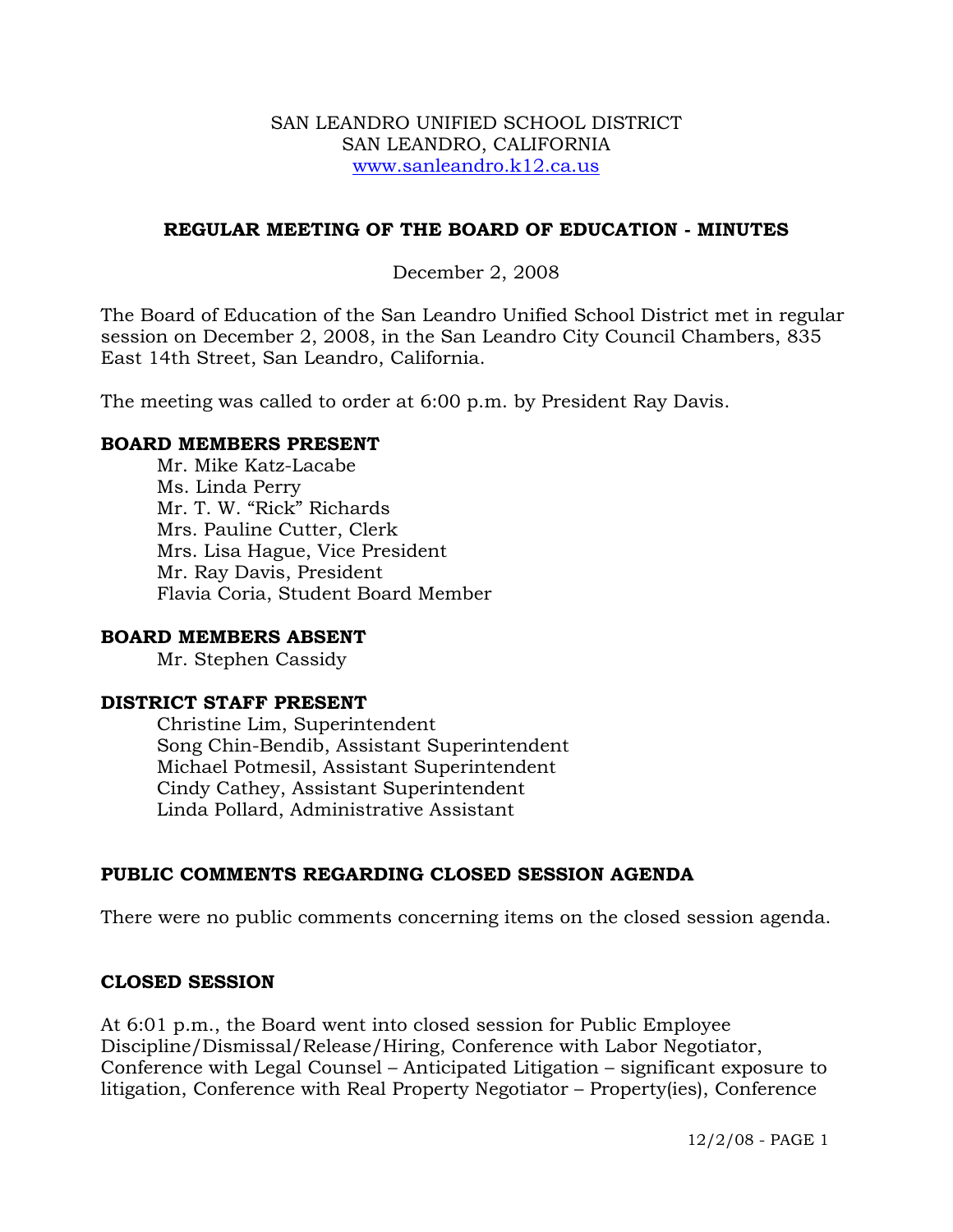#### SAN LEANDRO UNIFIED SCHOOL DISTRICT SAN LEANDRO, CALIFORNIA www.sanleandro.k12.ca.us

### **REGULAR MEETING OF THE BOARD OF EDUCATION - MINUTES**

### December 2, 2008

The Board of Education of the San Leandro Unified School District met in regular session on December 2, 2008, in the San Leandro City Council Chambers, 835 East 14th Street, San Leandro, California.

The meeting was called to order at 6:00 p.m. by President Ray Davis.

#### **BOARD MEMBERS PRESENT**

Mr. Mike Katz-Lacabe Ms. Linda Perry Mr. T. W. "Rick" Richards Mrs. Pauline Cutter, Clerk Mrs. Lisa Hague, Vice President Mr. Ray Davis, President Flavia Coria, Student Board Member

#### **BOARD MEMBERS ABSENT**

Mr. Stephen Cassidy

#### **DISTRICT STAFF PRESENT**

Christine Lim, Superintendent Song Chin-Bendib, Assistant Superintendent Michael Potmesil, Assistant Superintendent Cindy Cathey, Assistant Superintendent Linda Pollard, Administrative Assistant

## **PUBLIC COMMENTS REGARDING CLOSED SESSION AGENDA**

There were no public comments concerning items on the closed session agenda.

#### **CLOSED SESSION**

At 6:01 p.m., the Board went into closed session for Public Employee Discipline/Dismissal/Release/Hiring, Conference with Labor Negotiator, Conference with Legal Counsel – Anticipated Litigation – significant exposure to litigation, Conference with Real Property Negotiator – Property(ies), Conference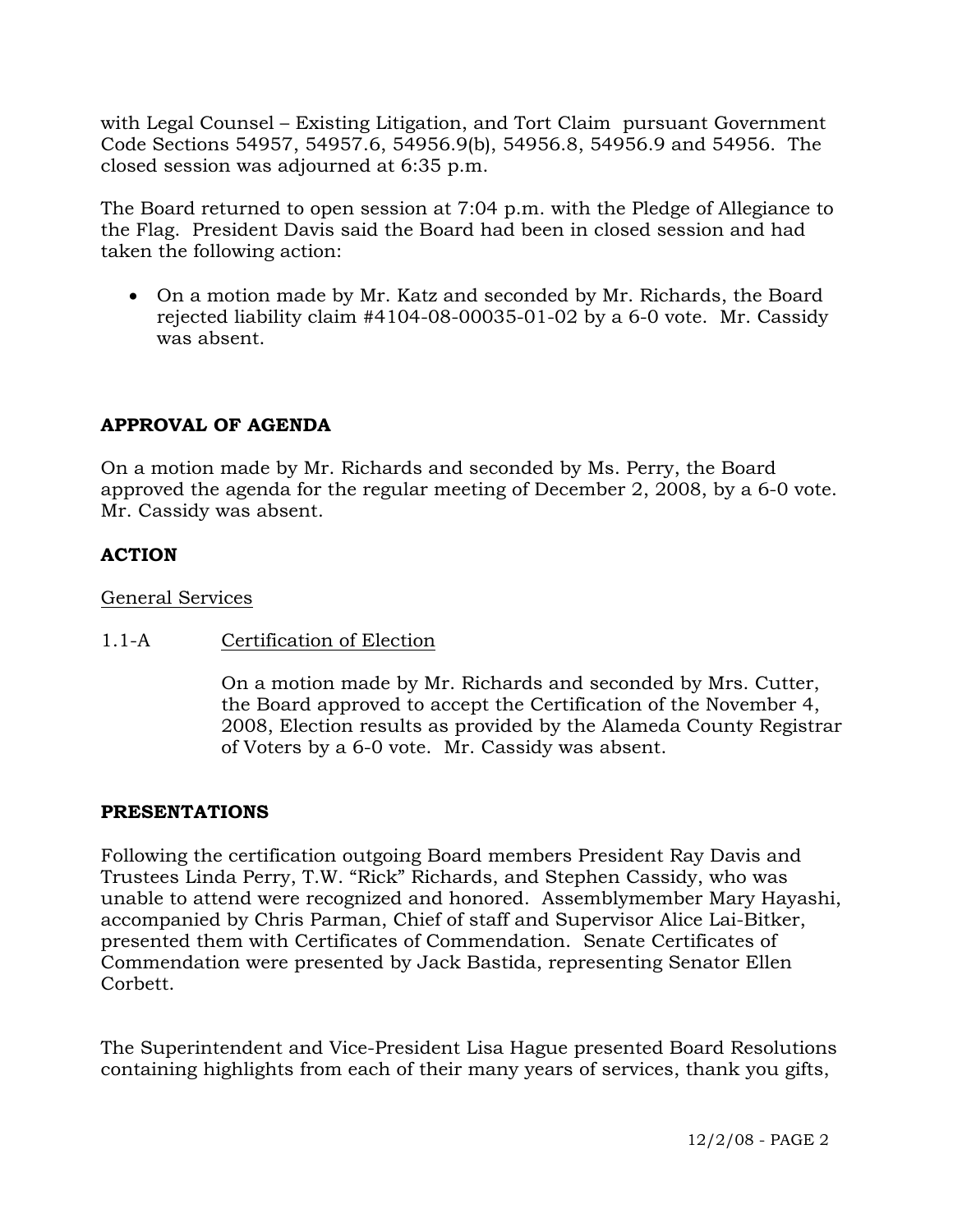with Legal Counsel – Existing Litigation, and Tort Claim pursuant Government Code Sections 54957, 54957.6, 54956.9(b), 54956.8, 54956.9 and 54956. The closed session was adjourned at 6:35 p.m.

The Board returned to open session at 7:04 p.m. with the Pledge of Allegiance to the Flag. President Davis said the Board had been in closed session and had taken the following action:

• On a motion made by Mr. Katz and seconded by Mr. Richards, the Board rejected liability claim #4104-08-00035-01-02 by a 6-0 vote. Mr. Cassidy was absent.

## **APPROVAL OF AGENDA**

On a motion made by Mr. Richards and seconded by Ms. Perry, the Board approved the agenda for the regular meeting of December 2, 2008, by a 6-0 vote. Mr. Cassidy was absent.

## **ACTION**

#### General Services

## 1.1-A Certification of Election

On a motion made by Mr. Richards and seconded by Mrs. Cutter, the Board approved to accept the Certification of the November 4, 2008, Election results as provided by the Alameda County Registrar of Voters by a 6-0 vote. Mr. Cassidy was absent.

#### **PRESENTATIONS**

Following the certification outgoing Board members President Ray Davis and Trustees Linda Perry, T.W. "Rick" Richards, and Stephen Cassidy, who was unable to attend were recognized and honored. Assemblymember Mary Hayashi, accompanied by Chris Parman, Chief of staff and Supervisor Alice Lai-Bitker, presented them with Certificates of Commendation. Senate Certificates of Commendation were presented by Jack Bastida, representing Senator Ellen Corbett.

The Superintendent and Vice-President Lisa Hague presented Board Resolutions containing highlights from each of their many years of services, thank you gifts,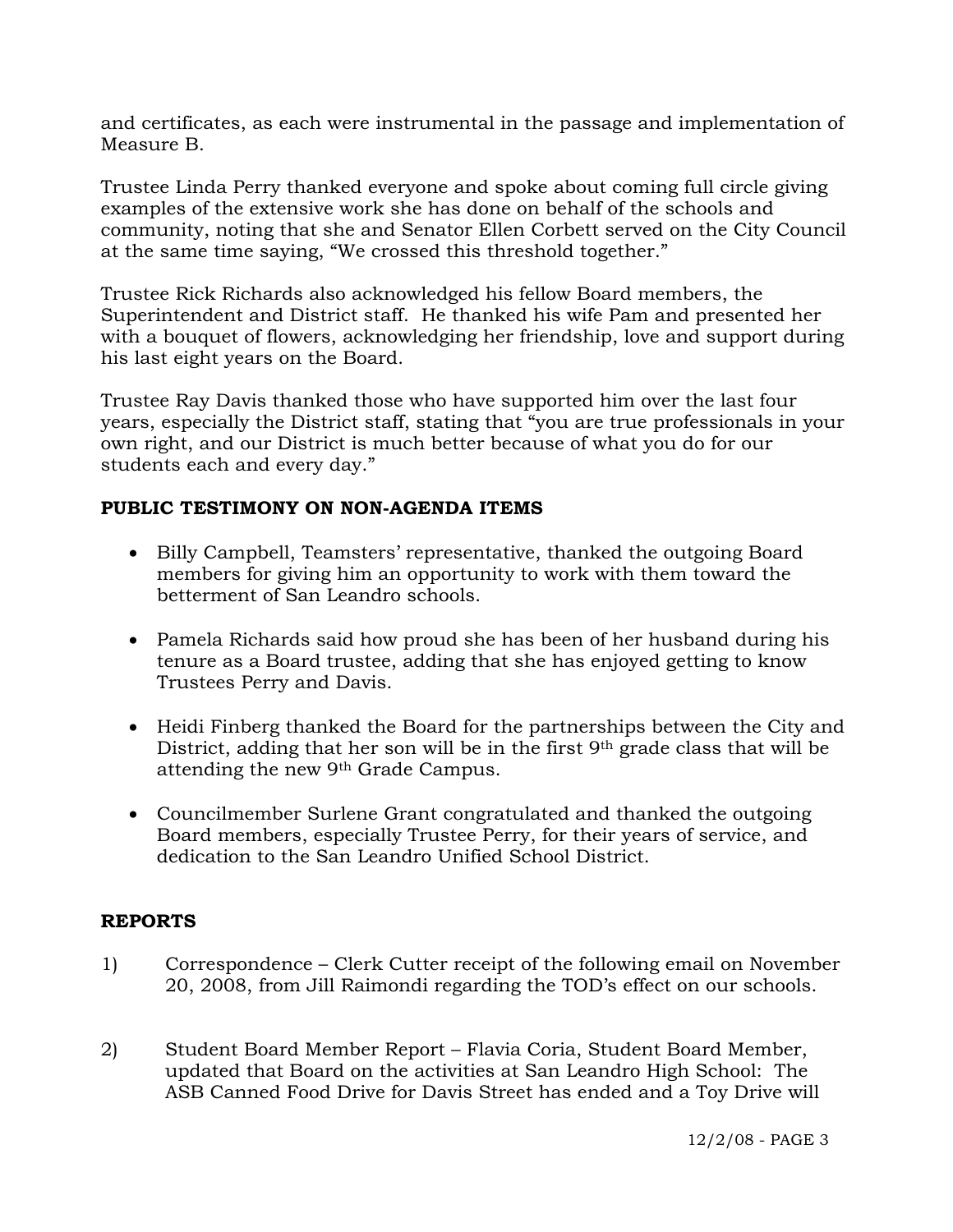and certificates, as each were instrumental in the passage and implementation of Measure B.

Trustee Linda Perry thanked everyone and spoke about coming full circle giving examples of the extensive work she has done on behalf of the schools and community, noting that she and Senator Ellen Corbett served on the City Council at the same time saying, "We crossed this threshold together."

Trustee Rick Richards also acknowledged his fellow Board members, the Superintendent and District staff. He thanked his wife Pam and presented her with a bouquet of flowers, acknowledging her friendship, love and support during his last eight years on the Board.

Trustee Ray Davis thanked those who have supported him over the last four years, especially the District staff, stating that "you are true professionals in your own right, and our District is much better because of what you do for our students each and every day."

# **PUBLIC TESTIMONY ON NON-AGENDA ITEMS**

- Billy Campbell, Teamsters' representative, thanked the outgoing Board members for giving him an opportunity to work with them toward the betterment of San Leandro schools.
- Pamela Richards said how proud she has been of her husband during his tenure as a Board trustee, adding that she has enjoyed getting to know Trustees Perry and Davis.
- Heidi Finberg thanked the Board for the partnerships between the City and District, adding that her son will be in the first 9th grade class that will be attending the new 9th Grade Campus.
- Councilmember Surlene Grant congratulated and thanked the outgoing Board members, especially Trustee Perry, for their years of service, and dedication to the San Leandro Unified School District.

## **REPORTS**

- 1) Correspondence Clerk Cutter receipt of the following email on November 20, 2008, from Jill Raimondi regarding the TOD's effect on our schools.
- 2) Student Board Member Report Flavia Coria, Student Board Member, updated that Board on the activities at San Leandro High School: The ASB Canned Food Drive for Davis Street has ended and a Toy Drive will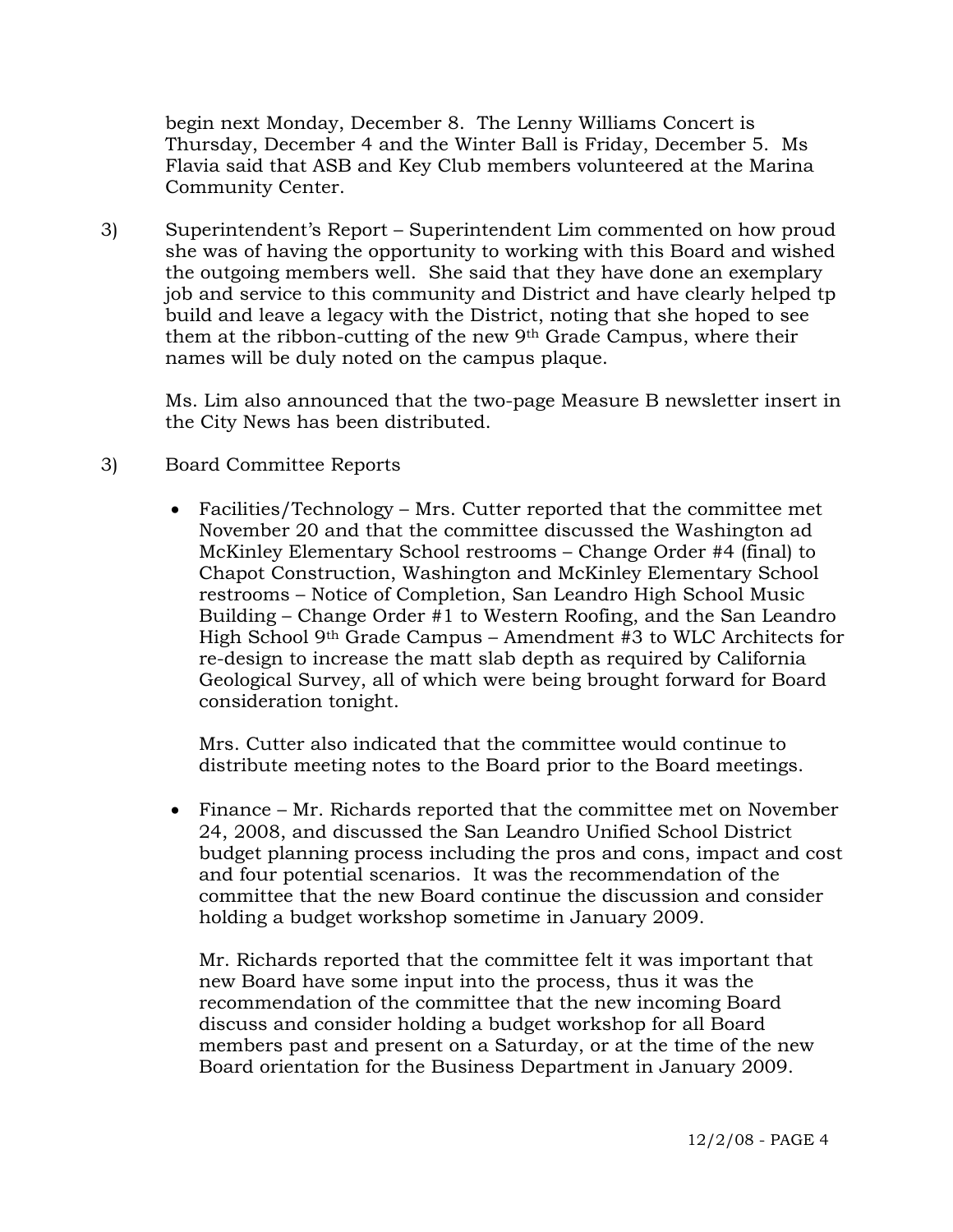begin next Monday, December 8. The Lenny Williams Concert is Thursday, December 4 and the Winter Ball is Friday, December 5. Ms Flavia said that ASB and Key Club members volunteered at the Marina Community Center.

3) Superintendent's Report – Superintendent Lim commented on how proud she was of having the opportunity to working with this Board and wished the outgoing members well. She said that they have done an exemplary job and service to this community and District and have clearly helped tp build and leave a legacy with the District, noting that she hoped to see them at the ribbon-cutting of the new 9th Grade Campus, where their names will be duly noted on the campus plaque.

Ms. Lim also announced that the two-page Measure B newsletter insert in the City News has been distributed.

# 3) Board Committee Reports

• Facilities/Technology – Mrs. Cutter reported that the committee met November 20 and that the committee discussed the Washington ad McKinley Elementary School restrooms – Change Order #4 (final) to Chapot Construction, Washington and McKinley Elementary School restrooms – Notice of Completion, San Leandro High School Music Building – Change Order #1 to Western Roofing, and the San Leandro High School 9th Grade Campus – Amendment #3 to WLC Architects for re-design to increase the matt slab depth as required by California Geological Survey, all of which were being brought forward for Board consideration tonight.

Mrs. Cutter also indicated that the committee would continue to distribute meeting notes to the Board prior to the Board meetings.

• Finance – Mr. Richards reported that the committee met on November 24, 2008, and discussed the San Leandro Unified School District budget planning process including the pros and cons, impact and cost and four potential scenarios. It was the recommendation of the committee that the new Board continue the discussion and consider holding a budget workshop sometime in January 2009.

Mr. Richards reported that the committee felt it was important that new Board have some input into the process, thus it was the recommendation of the committee that the new incoming Board discuss and consider holding a budget workshop for all Board members past and present on a Saturday, or at the time of the new Board orientation for the Business Department in January 2009.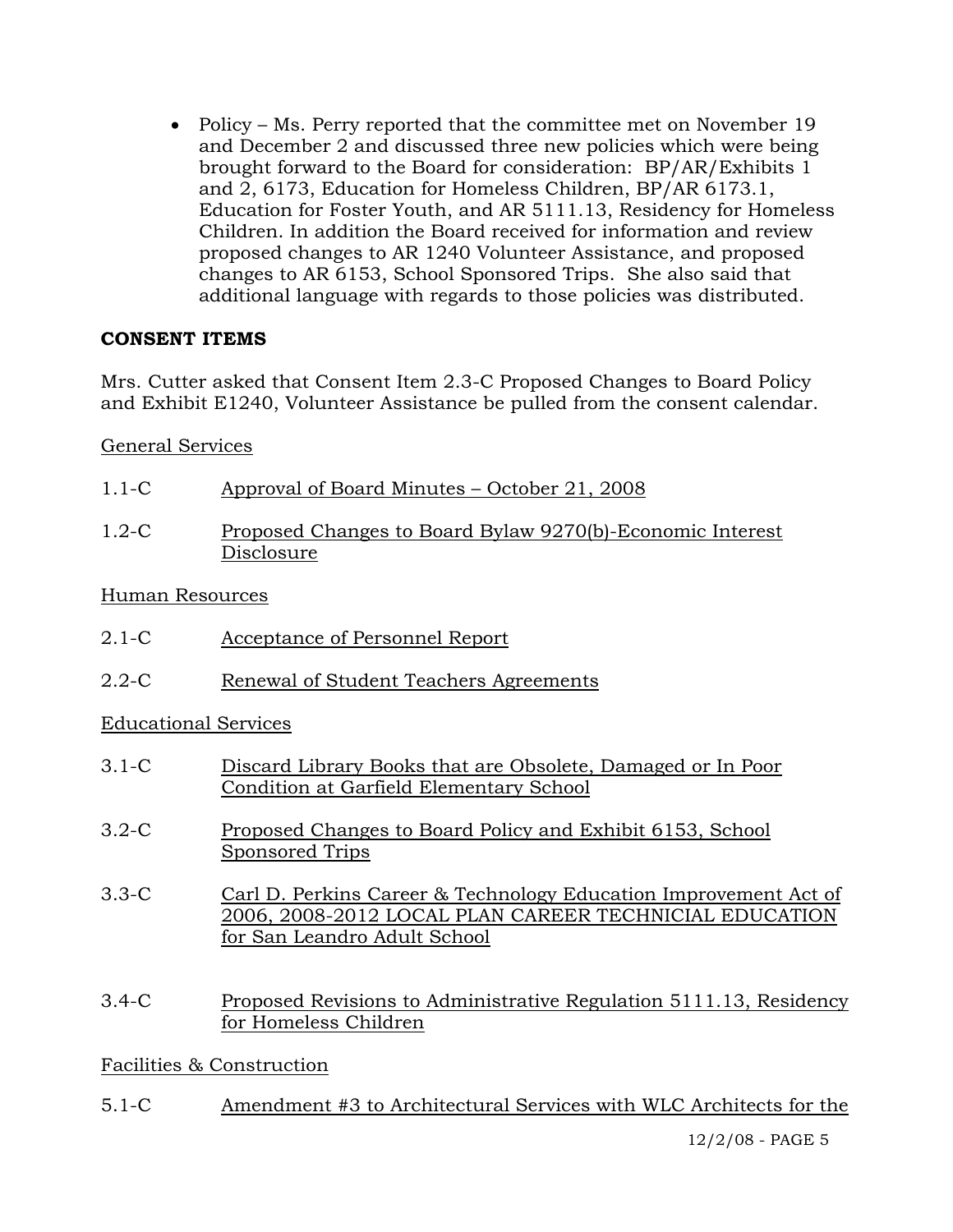• Policy – Ms. Perry reported that the committee met on November 19 and December 2 and discussed three new policies which were being brought forward to the Board for consideration: BP/AR/Exhibits 1 and 2, 6173, Education for Homeless Children, BP/AR 6173.1, Education for Foster Youth, and AR 5111.13, Residency for Homeless Children. In addition the Board received for information and review proposed changes to AR 1240 Volunteer Assistance, and proposed changes to AR 6153, School Sponsored Trips. She also said that additional language with regards to those policies was distributed.

# **CONSENT ITEMS**

Mrs. Cutter asked that Consent Item 2.3-C Proposed Changes to Board Policy and Exhibit E1240, Volunteer Assistance be pulled from the consent calendar.

General Services

| $1.1-C$   | Approval of Board Minutes – October 21, 2008                            |
|-----------|-------------------------------------------------------------------------|
| $1.2 - C$ | Proposed Changes to Board Bylaw 9270(b)-Economic Interest<br>Disclosure |

Human Resources

- 2.1-C Acceptance of Personnel Report
- 2.2-C Renewal of Student Teachers Agreements

Educational Services

- 3.1-C Discard Library Books that are Obsolete, Damaged or In Poor Condition at Garfield Elementary School
- 3.2-C Proposed Changes to Board Policy and Exhibit 6153, School Sponsored Trips
- 3.3-C Carl D. Perkins Career & Technology Education Improvement Act of 2006, 2008-2012 LOCAL PLAN CAREER TECHNICIAL EDUCATION for San Leandro Adult School
- 3.4-C Proposed Revisions to Administrative Regulation 5111.13, Residency for Homeless Children

Facilities & Construction

5.1-C Amendment #3 to Architectural Services with WLC Architects for the

12/2/08 - PAGE 5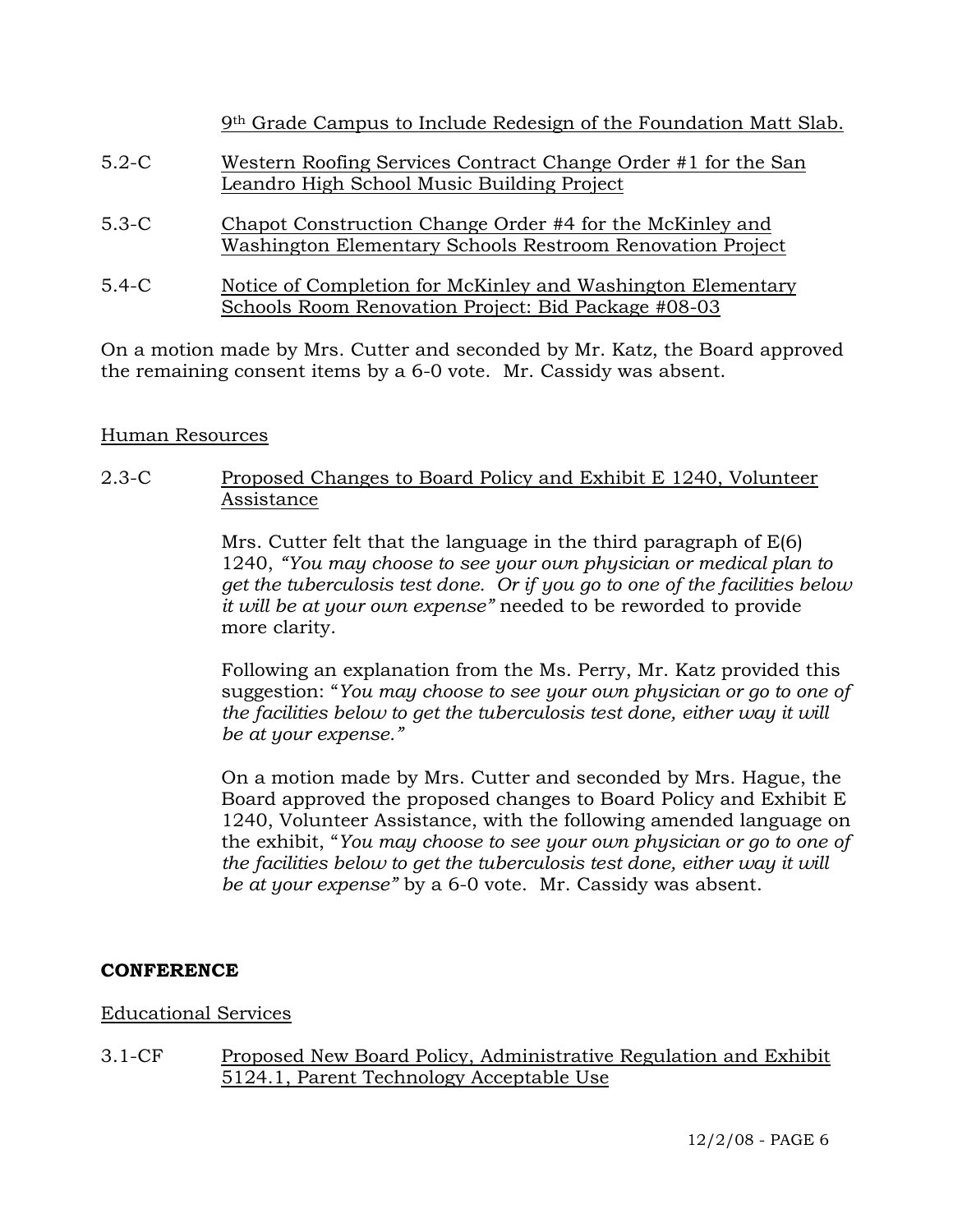|         | 9th Grade Campus to Include Redesign of the Foundation Matt Slab.                                                     |
|---------|-----------------------------------------------------------------------------------------------------------------------|
| $5.2-C$ | Western Roofing Services Contract Change Order #1 for the San<br>Leandro High School Music Building Project           |
| $5.3-C$ | Chapot Construction Change Order #4 for the McKinley and<br>Washington Elementary Schools Restroom Renovation Project |
| $5.4-C$ | Notice of Completion for McKinley and Washington Elementary<br>Schools Room Renovation Project: Bid Package #08-03    |

On a motion made by Mrs. Cutter and seconded by Mr. Katz, the Board approved the remaining consent items by a 6-0 vote. Mr. Cassidy was absent.

# Human Resources

2.3-C Proposed Changes to Board Policy and Exhibit E 1240, Volunteer Assistance

> Mrs. Cutter felt that the language in the third paragraph of E(6) 1240, *"You may choose to see your own physician or medical plan to get the tuberculosis test done. Or if you go to one of the facilities below it will be at your own expense"* needed to be reworded to provide more clarity.

> Following an explanation from the Ms. Perry, Mr. Katz provided this suggestion: "*You may choose to see your own physician or go to one of the facilities below to get the tuberculosis test done, either way it will be at your expense."*

> On a motion made by Mrs. Cutter and seconded by Mrs. Hague, the Board approved the proposed changes to Board Policy and Exhibit E 1240, Volunteer Assistance, with the following amended language on the exhibit, "*You may choose to see your own physician or go to one of the facilities below to get the tuberculosis test done, either way it will be at your expense"* by a 6-0 vote. Mr. Cassidy was absent.

## **CONFERENCE**

## Educational Services

3.1-CF Proposed New Board Policy, Administrative Regulation and Exhibit 5124.1, Parent Technology Acceptable Use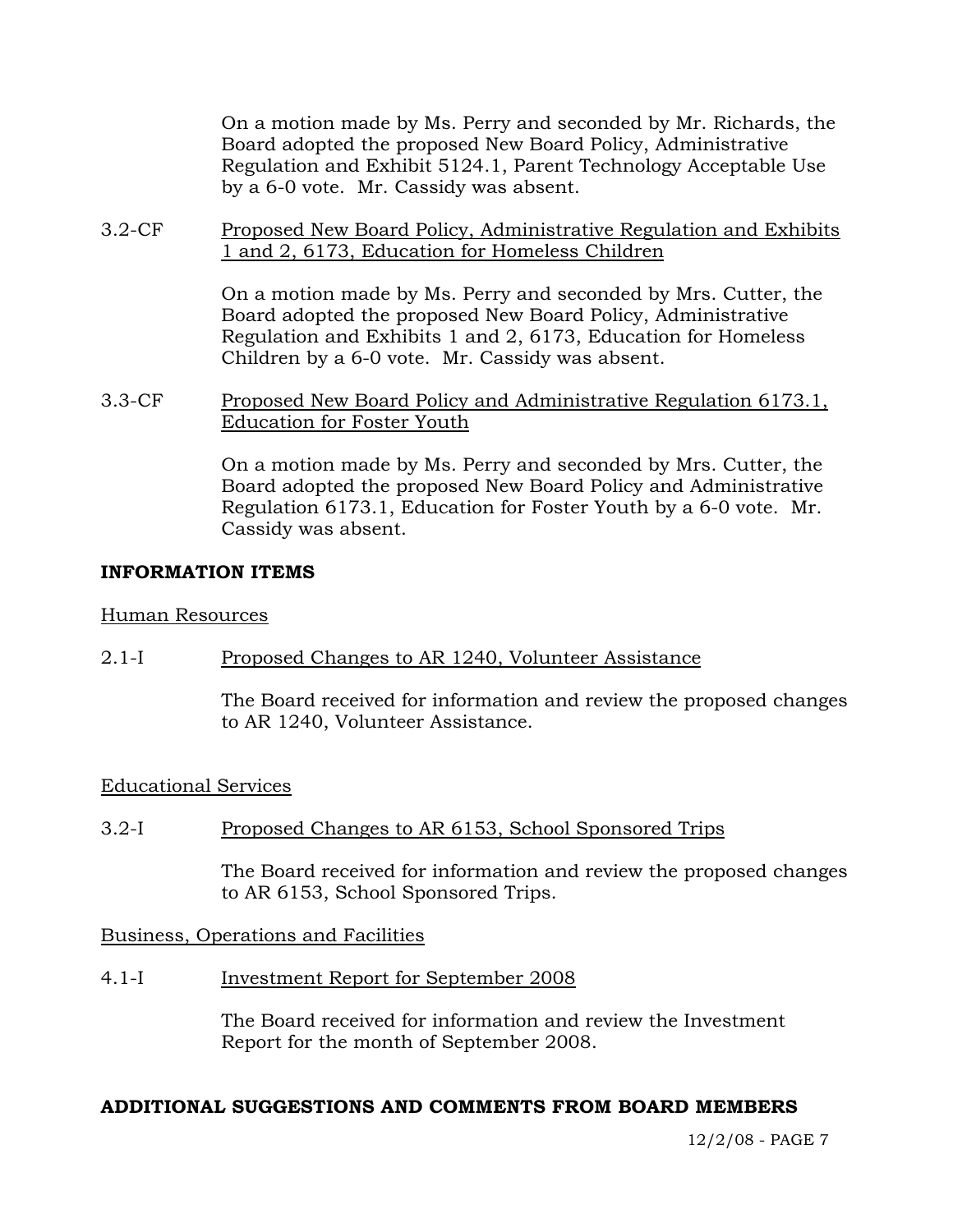On a motion made by Ms. Perry and seconded by Mr. Richards, the Board adopted the proposed New Board Policy, Administrative Regulation and Exhibit 5124.1, Parent Technology Acceptable Use by a 6-0 vote. Mr. Cassidy was absent.

3.2-CF Proposed New Board Policy, Administrative Regulation and Exhibits 1 and 2, 6173, Education for Homeless Children

> On a motion made by Ms. Perry and seconded by Mrs. Cutter, the Board adopted the proposed New Board Policy, Administrative Regulation and Exhibits 1 and 2, 6173, Education for Homeless Children by a 6-0 vote. Mr. Cassidy was absent.

3.3-CF Proposed New Board Policy and Administrative Regulation 6173.1, Education for Foster Youth

> On a motion made by Ms. Perry and seconded by Mrs. Cutter, the Board adopted the proposed New Board Policy and Administrative Regulation 6173.1, Education for Foster Youth by a 6-0 vote. Mr. Cassidy was absent.

## **INFORMATION ITEMS**

### Human Resources

2.1-I Proposed Changes to AR 1240, Volunteer Assistance

The Board received for information and review the proposed changes to AR 1240, Volunteer Assistance.

## Educational Services

3.2-I Proposed Changes to AR 6153, School Sponsored Trips

The Board received for information and review the proposed changes to AR 6153, School Sponsored Trips.

Business, Operations and Facilities

4.1-I Investment Report for September 2008

The Board received for information and review the Investment Report for the month of September 2008.

## **ADDITIONAL SUGGESTIONS AND COMMENTS FROM BOARD MEMBERS**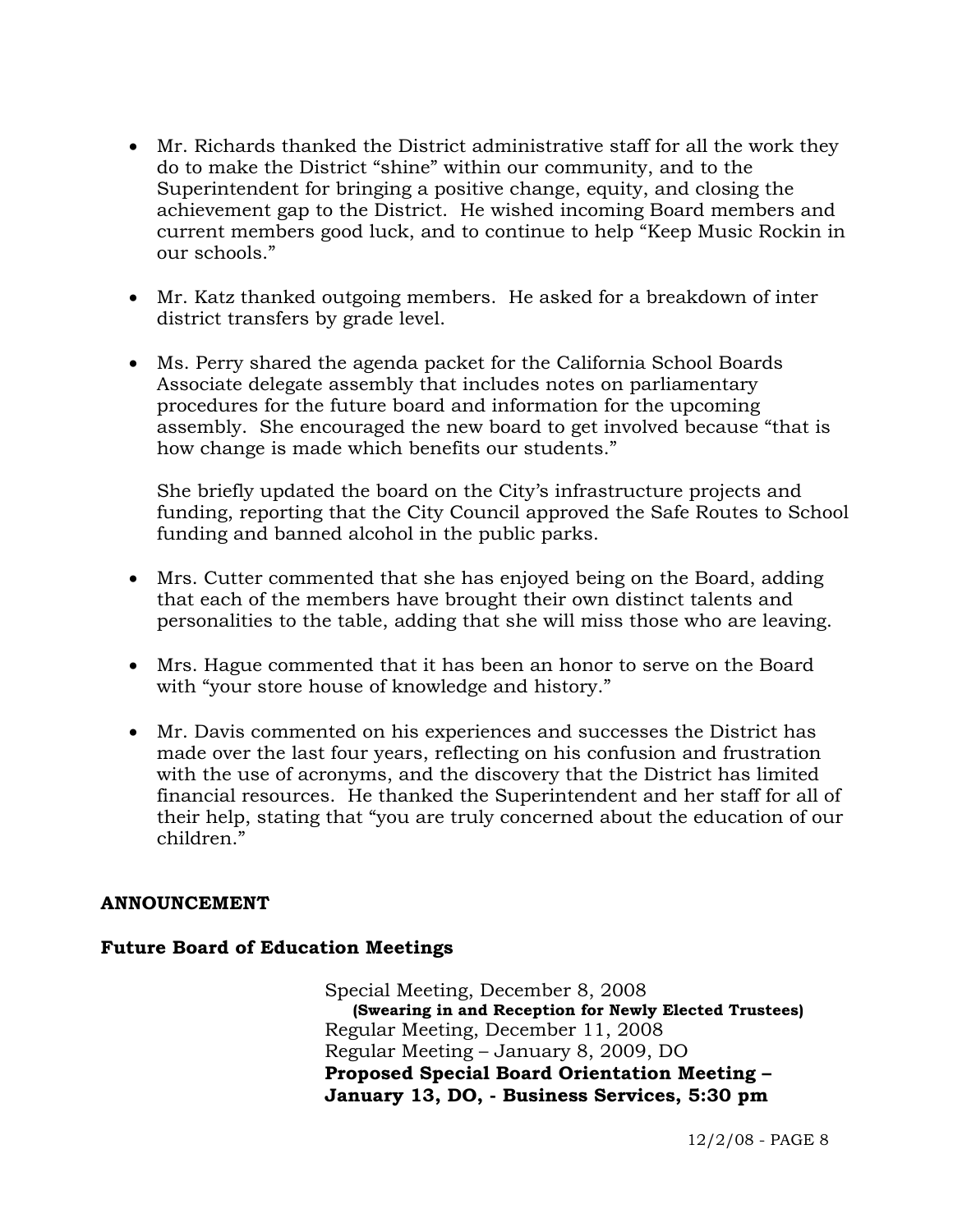- Mr. Richards thanked the District administrative staff for all the work they do to make the District "shine" within our community, and to the Superintendent for bringing a positive change, equity, and closing the achievement gap to the District. He wished incoming Board members and current members good luck, and to continue to help "Keep Music Rockin in our schools."
- Mr. Katz thanked outgoing members. He asked for a breakdown of inter district transfers by grade level.
- Ms. Perry shared the agenda packet for the California School Boards Associate delegate assembly that includes notes on parliamentary procedures for the future board and information for the upcoming assembly. She encouraged the new board to get involved because "that is how change is made which benefits our students."

She briefly updated the board on the City's infrastructure projects and funding, reporting that the City Council approved the Safe Routes to School funding and banned alcohol in the public parks.

- Mrs. Cutter commented that she has enjoyed being on the Board, adding that each of the members have brought their own distinct talents and personalities to the table, adding that she will miss those who are leaving.
- Mrs. Hague commented that it has been an honor to serve on the Board with "your store house of knowledge and history."
- Mr. Davis commented on his experiences and successes the District has made over the last four years, reflecting on his confusion and frustration with the use of acronyms, and the discovery that the District has limited financial resources. He thanked the Superintendent and her staff for all of their help, stating that "you are truly concerned about the education of our children."

#### **ANNOUNCEMENT**

#### **Future Board of Education Meetings**

Special Meeting, December 8, 2008 **(Swearing in and Reception for Newly Elected Trustees)**  Regular Meeting, December 11, 2008 Regular Meeting – January 8, 2009, DO **Proposed Special Board Orientation Meeting – January 13, DO, - Business Services, 5:30 pm**